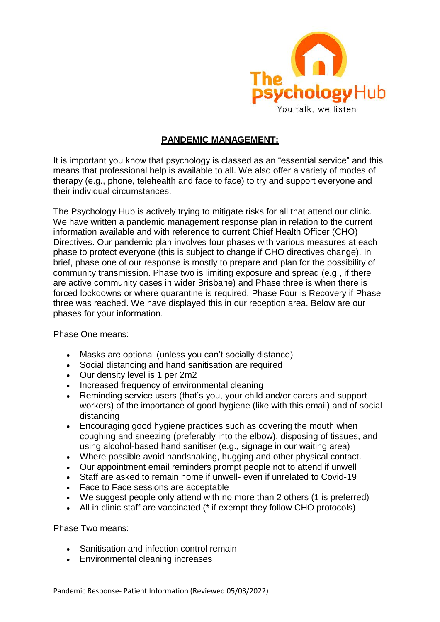

## **PANDEMIC MANAGEMENT:**

It is important you know that psychology is classed as an "essential service" and this means that professional help is available to all. We also offer a variety of modes of therapy (e.g., phone, telehealth and face to face) to try and support everyone and their individual circumstances.

The Psychology Hub is actively trying to mitigate risks for all that attend our clinic. We have written a pandemic management response plan in relation to the current information available and with reference to current Chief Health Officer (CHO) Directives. Our pandemic plan involves four phases with various measures at each phase to protect everyone (this is subject to change if CHO directives change). In brief, phase one of our response is mostly to prepare and plan for the possibility of community transmission. Phase two is limiting exposure and spread (e.g., if there are active community cases in wider Brisbane) and Phase three is when there is forced lockdowns or where quarantine is required. Phase Four is Recovery if Phase three was reached. We have displayed this in our reception area. Below are our phases for your information.

Phase One means:

- Masks are optional (unless you can't socially distance)
- Social distancing and hand sanitisation are required
- Our density level is 1 per 2m2
- Increased frequency of environmental cleaning
- Reminding service users (that's you, your child and/or carers and support workers) of the importance of good hygiene (like with this email) and of social distancing
- Encouraging good hygiene practices such as covering the mouth when coughing and sneezing (preferably into the elbow), disposing of tissues, and using alcohol-based hand sanitiser (e.g., signage in our waiting area)
- Where possible avoid handshaking, hugging and other physical contact.
- Our appointment email reminders prompt people not to attend if unwell
- Staff are asked to remain home if unwell- even if unrelated to Covid-19
- Face to Face sessions are acceptable
- We suggest people only attend with no more than 2 others (1 is preferred)
- All in clinic staff are vaccinated (\* if exempt they follow CHO protocols)

Phase Two means:

- Sanitisation and infection control remain
- Environmental cleaning increases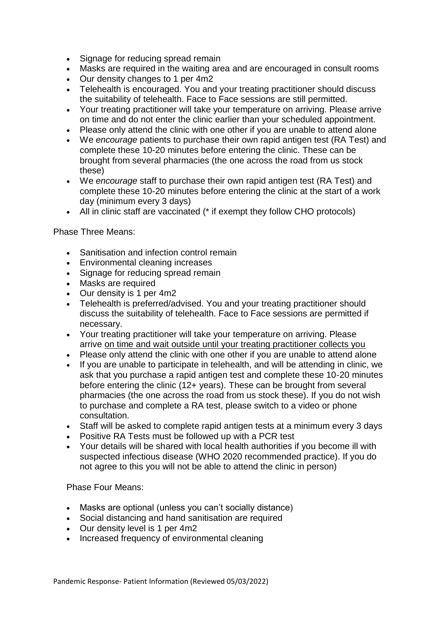- Signage for reducing spread remain
- Masks are required in the waiting area and are encouraged in consult rooms
- Our density changes to 1 per 4m2
- Telehealth is encouraged. You and your treating practitioner should discuss the suitability of telehealth. Face to Face sessions are still permitted.
- Your treating practitioner will take your temperature on arriving. Please arrive on time and do not enter the clinic earlier than your scheduled appointment.
- Please only attend the clinic with one other if you are unable to attend alone
- We *encourage* patients to purchase their own rapid antigen test (RA Test) and complete these 10-20 minutes before entering the clinic. These can be brought from several pharmacies (the one across the road from us stock these)
- We *encourage* staff to purchase their own rapid antigen test (RA Test) and complete these 10-20 minutes before entering the clinic at the start of a work day (minimum every 3 days)
- All in clinic staff are vaccinated (\* if exempt they follow CHO protocols)

Phase Three Means:

- Sanitisation and infection control remain
- Environmental cleaning increases
- Signage for reducing spread remain
- Masks are required
- Our density is 1 per 4m2
- Telehealth is preferred/advised. You and your treating practitioner should discuss the suitability of telehealth. Face to Face sessions are permitted if necessary.
- Your treating practitioner will take your temperature on arriving. Please arrive on time and wait outside until your treating practitioner collects you
- Please only attend the clinic with one other if you are unable to attend alone
- If you are unable to participate in telehealth, and will be attending in clinic, we ask that you purchase a rapid antigen test and complete these 10-20 minutes before entering the clinic (12+ years). These can be brought from several pharmacies (the one across the road from us stock these). If you do not wish to purchase and complete a RA test, please switch to a video or phone consultation.
- Staff will be asked to complete rapid antigen tests at a minimum every 3 days
- Positive RA Tests must be followed up with a PCR test
- Your details will be shared with local health authorities if you become ill with suspected infectious disease (WHO 2020 recommended practice). If you do not agree to this you will not be able to attend the clinic in person)

Phase Four Means:

- Masks are optional (unless you can't socially distance)
- Social distancing and hand sanitisation are required
- Our density level is 1 per 4m2
- Increased frequency of environmental cleaning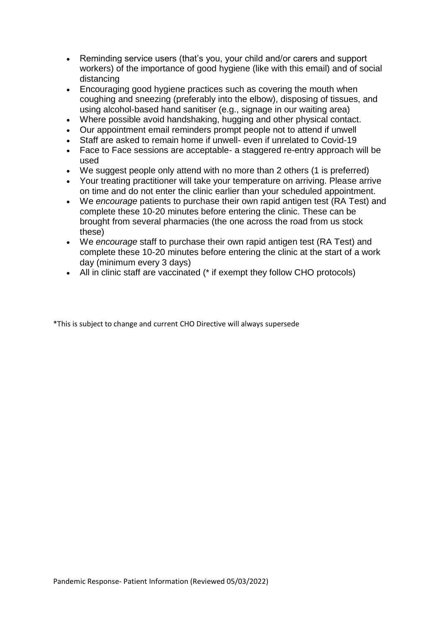- Reminding service users (that's you, your child and/or carers and support workers) of the importance of good hygiene (like with this email) and of social distancing
- Encouraging good hygiene practices such as covering the mouth when coughing and sneezing (preferably into the elbow), disposing of tissues, and using alcohol-based hand sanitiser (e.g., signage in our waiting area)
- Where possible avoid handshaking, hugging and other physical contact.
- Our appointment email reminders prompt people not to attend if unwell
- Staff are asked to remain home if unwell- even if unrelated to Covid-19
- Face to Face sessions are acceptable- a staggered re-entry approach will be used
- We suggest people only attend with no more than 2 others (1 is preferred)
- Your treating practitioner will take your temperature on arriving. Please arrive on time and do not enter the clinic earlier than your scheduled appointment.
- We *encourage* patients to purchase their own rapid antigen test (RA Test) and complete these 10-20 minutes before entering the clinic. These can be brought from several pharmacies (the one across the road from us stock these)
- We *encourage* staff to purchase their own rapid antigen test (RA Test) and complete these 10-20 minutes before entering the clinic at the start of a work day (minimum every 3 days)
- All in clinic staff are vaccinated (\* if exempt they follow CHO protocols)

\*This is subject to change and current CHO Directive will always supersede